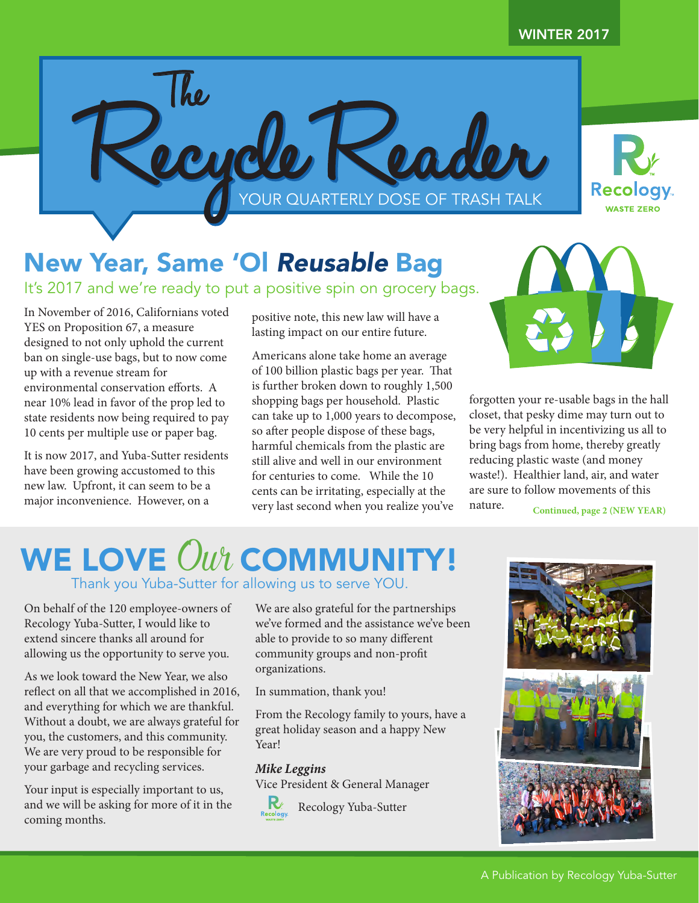

## New Year, Same 'Ol *Reusable* Bag

It's 2017 and we're ready to put a positive spin on grocery bags.

In November of 2016, Californians voted YES on Proposition 67, a measure designed to not only uphold the current ban on single-use bags, but to now come up with a revenue stream for environmental conservation efforts. A near 10% lead in favor of the prop led to state residents now being required to pay 10 cents per multiple use or paper bag.

It is now 2017, and Yuba-Sutter residents have been growing accustomed to this new law. Upfront, it can seem to be a major inconvenience. However, on a

positive note, this new law will have a lasting impact on our entire future.

Americans alone take home an average of 100 billion plastic bags per year. That is further broken down to roughly 1,500 shopping bags per household. Plastic can take up to 1,000 years to decompose, so after people dispose of these bags, harmful chemicals from the plastic are still alive and well in our environment for centuries to come. While the 10 cents can be irritating, especially at the very last second when you realize you've



forgotten your re-usable bags in the hall closet, that pesky dime may turn out to be very helpful in incentivizing us all to bring bags from home, thereby greatly reducing plastic waste (and money waste!). Healthier land, air, and water are sure to follow movements of this nature.

**Continued, page 2 (NEW YEAR)**

## WE LOVE  $\mathit{Out}$  COMMUNITY! Thank you Yuba-Sutter for allowing us to serve YOU.

On behalf of the 120 employee-owners of Recology Yuba-Sutter, I would like to extend sincere thanks all around for allowing us the opportunity to serve you.

As we look toward the New Year, we also reflect on all that we accomplished in 2016, and everything for which we are thankful. Without a doubt, we are always grateful for you, the customers, and this community. We are very proud to be responsible for your garbage and recycling services.

Your input is especially important to us, and we will be asking for more of it in the coming months.

We are also grateful for the partnerships we've formed and the assistance we've been able to provide to so many different community groups and non-profit organizations.

In summation, thank you!

From the Recology family to yours, have a great holiday season and a happy New Year!

## *Mike Leggins*

Vice President & General Manager



 $\mathbf{R}_{\text{Recology}}$  Recology Yuba-Sutter